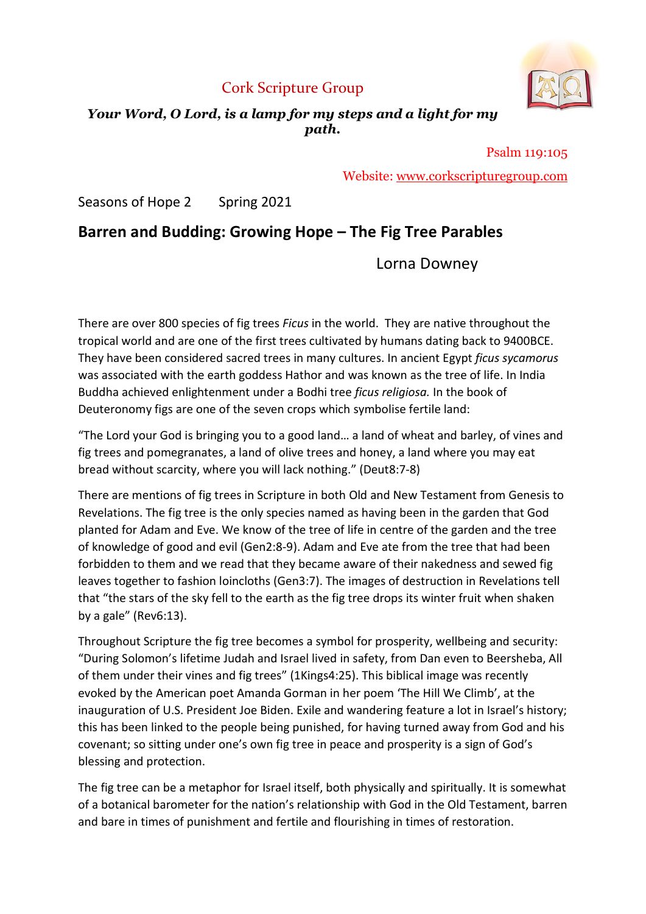# Cork Scripture Group



## Your Word, O Lord, is a lamp for my steps and a light for my path.

Psalm 119:105 Website: www.corkscripturegroup.com

Seasons of Hope 2 Spring 2021

# Barren and Budding: Growing Hope – The Fig Tree Parables

Lorna Downey

There are over 800 species of fig trees Ficus in the world. They are native throughout the tropical world and are one of the first trees cultivated by humans dating back to 9400BCE. They have been considered sacred trees in many cultures. In ancient Egypt *ficus sycamorus* was associated with the earth goddess Hathor and was known as the tree of life. In India Buddha achieved enlightenment under a Bodhi tree ficus religiosa. In the book of Deuteronomy figs are one of the seven crops which symbolise fertile land:

"The Lord your God is bringing you to a good land… a land of wheat and barley, of vines and fig trees and pomegranates, a land of olive trees and honey, a land where you may eat bread without scarcity, where you will lack nothing." (Deut8:7-8)

There are mentions of fig trees in Scripture in both Old and New Testament from Genesis to Revelations. The fig tree is the only species named as having been in the garden that God planted for Adam and Eve. We know of the tree of life in centre of the garden and the tree of knowledge of good and evil (Gen2:8-9). Adam and Eve ate from the tree that had been forbidden to them and we read that they became aware of their nakedness and sewed fig leaves together to fashion loincloths (Gen3:7). The images of destruction in Revelations tell that "the stars of the sky fell to the earth as the fig tree drops its winter fruit when shaken by a gale" (Rev6:13).

Throughout Scripture the fig tree becomes a symbol for prosperity, wellbeing and security: "During Solomon's lifetime Judah and Israel lived in safety, from Dan even to Beersheba, All of them under their vines and fig trees" (1Kings4:25). This biblical image was recently evoked by the American poet Amanda Gorman in her poem 'The Hill We Climb', at the inauguration of U.S. President Joe Biden. Exile and wandering feature a lot in Israel's history; this has been linked to the people being punished, for having turned away from God and his covenant; so sitting under one's own fig tree in peace and prosperity is a sign of God's blessing and protection.

The fig tree can be a metaphor for Israel itself, both physically and spiritually. It is somewhat of a botanical barometer for the nation's relationship with God in the Old Testament, barren and bare in times of punishment and fertile and flourishing in times of restoration.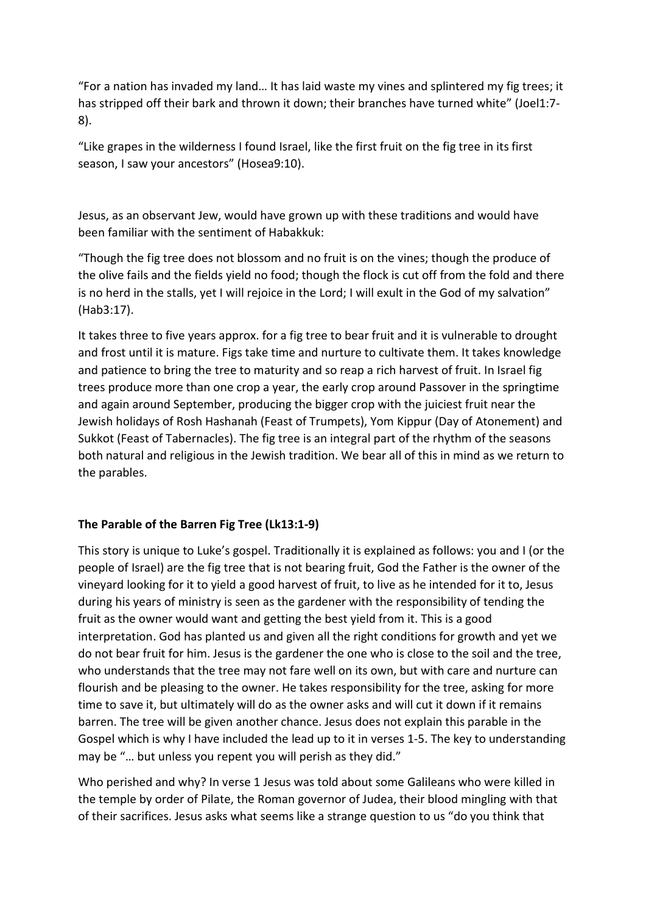"For a nation has invaded my land… It has laid waste my vines and splintered my fig trees; it has stripped off their bark and thrown it down; their branches have turned white" (Joel1:7- 8).

"Like grapes in the wilderness I found Israel, like the first fruit on the fig tree in its first season, I saw your ancestors" (Hosea9:10).

Jesus, as an observant Jew, would have grown up with these traditions and would have been familiar with the sentiment of Habakkuk:

"Though the fig tree does not blossom and no fruit is on the vines; though the produce of the olive fails and the fields yield no food; though the flock is cut off from the fold and there is no herd in the stalls, yet I will rejoice in the Lord; I will exult in the God of my salvation" (Hab3:17).

It takes three to five years approx. for a fig tree to bear fruit and it is vulnerable to drought and frost until it is mature. Figs take time and nurture to cultivate them. It takes knowledge and patience to bring the tree to maturity and so reap a rich harvest of fruit. In Israel fig trees produce more than one crop a year, the early crop around Passover in the springtime and again around September, producing the bigger crop with the juiciest fruit near the Jewish holidays of Rosh Hashanah (Feast of Trumpets), Yom Kippur (Day of Atonement) and Sukkot (Feast of Tabernacles). The fig tree is an integral part of the rhythm of the seasons both natural and religious in the Jewish tradition. We bear all of this in mind as we return to the parables.

### The Parable of the Barren Fig Tree (Lk13:1-9)

This story is unique to Luke's gospel. Traditionally it is explained as follows: you and I (or the people of Israel) are the fig tree that is not bearing fruit, God the Father is the owner of the vineyard looking for it to yield a good harvest of fruit, to live as he intended for it to, Jesus during his years of ministry is seen as the gardener with the responsibility of tending the fruit as the owner would want and getting the best yield from it. This is a good interpretation. God has planted us and given all the right conditions for growth and yet we do not bear fruit for him. Jesus is the gardener the one who is close to the soil and the tree, who understands that the tree may not fare well on its own, but with care and nurture can flourish and be pleasing to the owner. He takes responsibility for the tree, asking for more time to save it, but ultimately will do as the owner asks and will cut it down if it remains barren. The tree will be given another chance. Jesus does not explain this parable in the Gospel which is why I have included the lead up to it in verses 1-5. The key to understanding may be "... but unless you repent you will perish as they did."

Who perished and why? In verse 1 Jesus was told about some Galileans who were killed in the temple by order of Pilate, the Roman governor of Judea, their blood mingling with that of their sacrifices. Jesus asks what seems like a strange question to us "do you think that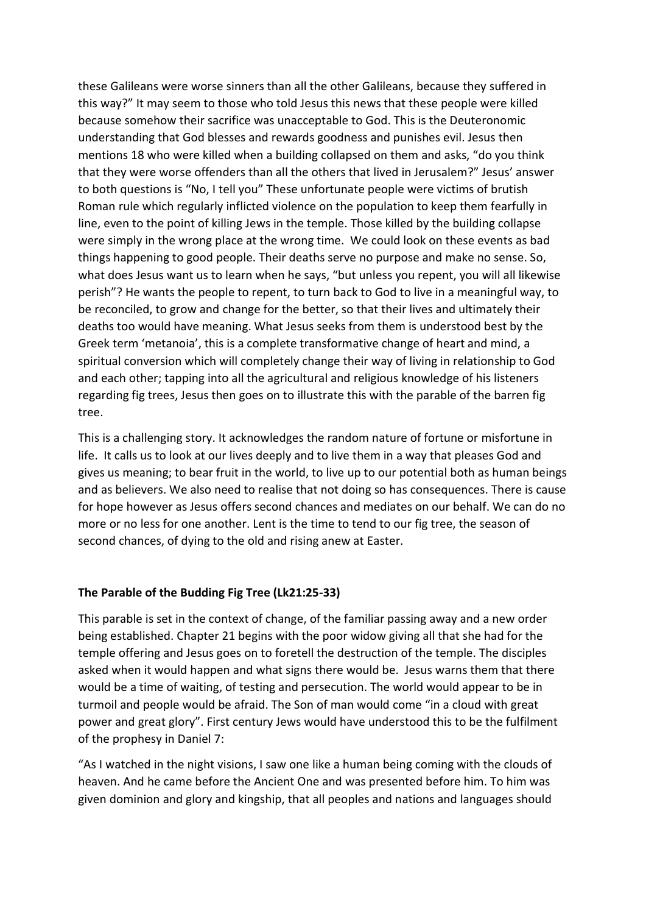these Galileans were worse sinners than all the other Galileans, because they suffered in this way?" It may seem to those who told Jesus this news that these people were killed because somehow their sacrifice was unacceptable to God. This is the Deuteronomic understanding that God blesses and rewards goodness and punishes evil. Jesus then mentions 18 who were killed when a building collapsed on them and asks, "do you think that they were worse offenders than all the others that lived in Jerusalem?" Jesus' answer to both questions is "No, I tell you" These unfortunate people were victims of brutish Roman rule which regularly inflicted violence on the population to keep them fearfully in line, even to the point of killing Jews in the temple. Those killed by the building collapse were simply in the wrong place at the wrong time. We could look on these events as bad things happening to good people. Their deaths serve no purpose and make no sense. So, what does Jesus want us to learn when he says, "but unless you repent, you will all likewise perish"? He wants the people to repent, to turn back to God to live in a meaningful way, to be reconciled, to grow and change for the better, so that their lives and ultimately their deaths too would have meaning. What Jesus seeks from them is understood best by the Greek term 'metanoia', this is a complete transformative change of heart and mind, a spiritual conversion which will completely change their way of living in relationship to God and each other; tapping into all the agricultural and religious knowledge of his listeners regarding fig trees, Jesus then goes on to illustrate this with the parable of the barren fig tree.

This is a challenging story. It acknowledges the random nature of fortune or misfortune in life. It calls us to look at our lives deeply and to live them in a way that pleases God and gives us meaning; to bear fruit in the world, to live up to our potential both as human beings and as believers. We also need to realise that not doing so has consequences. There is cause for hope however as Jesus offers second chances and mediates on our behalf. We can do no more or no less for one another. Lent is the time to tend to our fig tree, the season of second chances, of dying to the old and rising anew at Easter.

### The Parable of the Budding Fig Tree (Lk21:25-33)

This parable is set in the context of change, of the familiar passing away and a new order being established. Chapter 21 begins with the poor widow giving all that she had for the temple offering and Jesus goes on to foretell the destruction of the temple. The disciples asked when it would happen and what signs there would be. Jesus warns them that there would be a time of waiting, of testing and persecution. The world would appear to be in turmoil and people would be afraid. The Son of man would come "in a cloud with great power and great glory". First century Jews would have understood this to be the fulfilment of the prophesy in Daniel 7:

"As I watched in the night visions, I saw one like a human being coming with the clouds of heaven. And he came before the Ancient One and was presented before him. To him was given dominion and glory and kingship, that all peoples and nations and languages should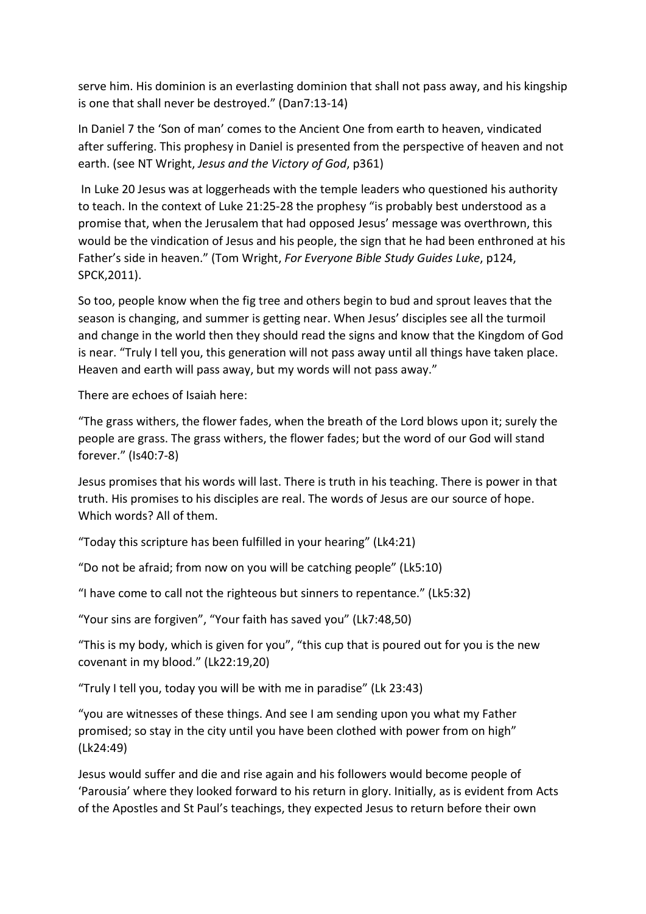serve him. His dominion is an everlasting dominion that shall not pass away, and his kingship is one that shall never be destroyed." (Dan7:13-14)

In Daniel 7 the 'Son of man' comes to the Ancient One from earth to heaven, vindicated after suffering. This prophesy in Daniel is presented from the perspective of heaven and not earth. (see NT Wright, Jesus and the Victory of God, p361)

 In Luke 20 Jesus was at loggerheads with the temple leaders who questioned his authority to teach. In the context of Luke 21:25-28 the prophesy "is probably best understood as a promise that, when the Jerusalem that had opposed Jesus' message was overthrown, this would be the vindication of Jesus and his people, the sign that he had been enthroned at his Father's side in heaven." (Tom Wright, For Everyone Bible Study Guides Luke, p124, SPCK,2011).

So too, people know when the fig tree and others begin to bud and sprout leaves that the season is changing, and summer is getting near. When Jesus' disciples see all the turmoil and change in the world then they should read the signs and know that the Kingdom of God is near. "Truly I tell you, this generation will not pass away until all things have taken place. Heaven and earth will pass away, but my words will not pass away."

There are echoes of Isaiah here:

"The grass withers, the flower fades, when the breath of the Lord blows upon it; surely the people are grass. The grass withers, the flower fades; but the word of our God will stand forever." (Is40:7-8)

Jesus promises that his words will last. There is truth in his teaching. There is power in that truth. His promises to his disciples are real. The words of Jesus are our source of hope. Which words? All of them.

"Today this scripture has been fulfilled in your hearing" (Lk4:21)

"Do not be afraid; from now on you will be catching people" (Lk5:10)

"I have come to call not the righteous but sinners to repentance." (Lk5:32)

"Your sins are forgiven", "Your faith has saved you" (Lk7:48,50)

"This is my body, which is given for you", "this cup that is poured out for you is the new covenant in my blood." (Lk22:19,20)

"Truly I tell you, today you will be with me in paradise" (Lk 23:43)

"you are witnesses of these things. And see I am sending upon you what my Father promised; so stay in the city until you have been clothed with power from on high" (Lk24:49)

Jesus would suffer and die and rise again and his followers would become people of 'Parousia' where they looked forward to his return in glory. Initially, as is evident from Acts of the Apostles and St Paul's teachings, they expected Jesus to return before their own